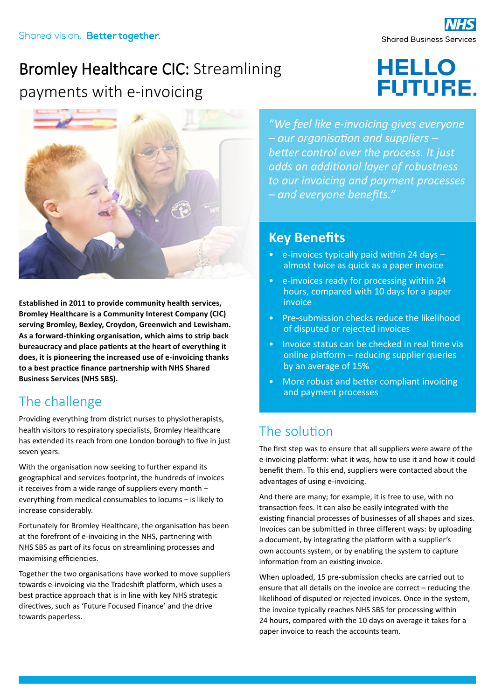## Bromley Healthcare CIC: Streamlining payments with e-invoicing

# **HELLO FUTURE.**



**Established in 2011 to provide community health services, Bromley Healthcare is a Community Interest Company (CIC) serving Bromley, Bexley, Croydon, Greenwich and Lewisham. As a forward-thinking organisation, which aims to strip back bureaucracy and place patients at the heart of everything it does, it is pioneering the increased use of e-invoicing thanks to a best practice finance partnership with NHS Shared Business Services (NHS SBS).**

## The challenge

Providing everything from district nurses to physiotherapists, health visitors to respiratory specialists, Bromley Healthcare has extended its reach from one London borough to five in just seven years.

With the organisation now seeking to further expand its geographical and services footprint, the hundreds of invoices it receives from a wide range of suppliers every month – everything from medical consumables to locums – is likely to increase considerably.

Fortunately for Bromley Healthcare, the organisation has been at the forefront of e-invoicing in the NHS, partnering with NHS SBS as part of its focus on streamlining processes and maximising efficiencies.

Together the two organisations have worked to move suppliers towards e-invoicing via the Tradeshift platform, which uses a best practice approach that is in line with key NHS strategic directives, such as 'Future Focused Finance' and the drive towards paperless.

*"We feel like e-invoicing gives everyone – our organisation and suppliers – better control over the process. It just adds an additional layer of robustness to our invoicing and payment processes – and everyone benefits."*

#### **Key Benefits**

- $\bullet$  e-invoices typically paid within 24 days  $$ almost twice as quick as a paper invoice
- e-invoices ready for processing within 24 hours, compared with 10 days for a paper invoice
- Pre-submission checks reduce the likelihood of disputed or rejected invoices
- Invoice status can be checked in real time via online platform – reducing supplier queries by an average of 15%
- More robust and better compliant invoicing and payment processes

## The solution

The first step was to ensure that all suppliers were aware of the e-invoicing platform: what it was, how to use it and how it could benefit them. To this end, suppliers were contacted about the advantages of using e-invoicing.

And there are many; for example, it is free to use, with no transaction fees. It can also be easily integrated with the existing financial processes of businesses of all shapes and sizes. Invoices can be submitted in three different ways: by uploading a document, by integrating the platform with a supplier's own accounts system, or by enabling the system to capture information from an existing invoice.

When uploaded, 15 pre-submission checks are carried out to ensure that all details on the invoice are correct – reducing the likelihood of disputed or rejected invoices. Once in the system, the invoice typically reaches NHS SBS for processing within 24 hours, compared with the 10 days on average it takes for a paper invoice to reach the accounts team.